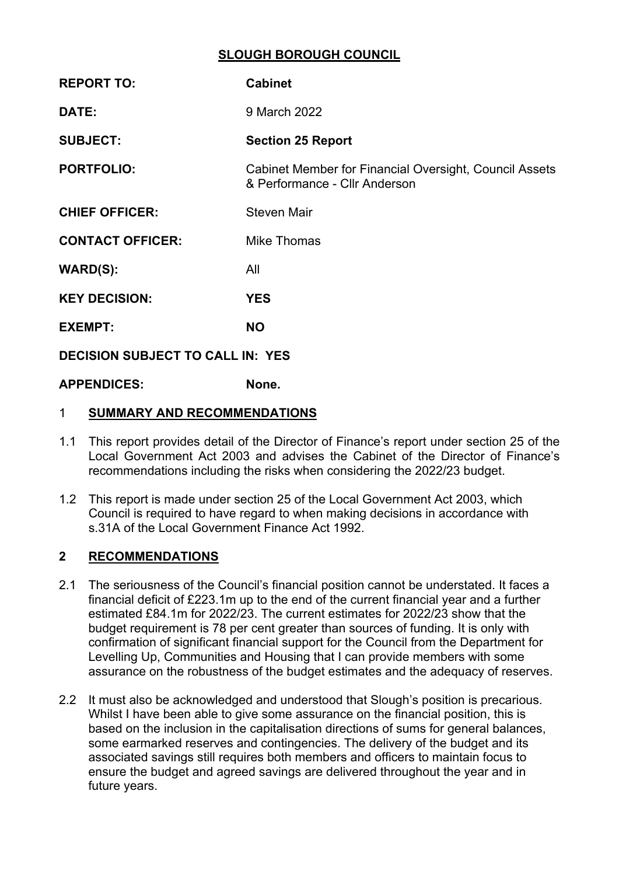## **SLOUGH BOROUGH COUNCIL**

| <b>REPORT TO:</b>                       | <b>Cabinet</b>                                                                                 |  |  |  |
|-----------------------------------------|------------------------------------------------------------------------------------------------|--|--|--|
| DATE:                                   | 9 March 2022                                                                                   |  |  |  |
| <b>SUBJECT:</b>                         | <b>Section 25 Report</b>                                                                       |  |  |  |
| <b>PORTFOLIO:</b>                       | <b>Cabinet Member for Financial Oversight, Council Assets</b><br>& Performance - Cllr Anderson |  |  |  |
| <b>CHIEF OFFICER:</b>                   | <b>Steven Mair</b>                                                                             |  |  |  |
| <b>CONTACT OFFICER:</b>                 | Mike Thomas                                                                                    |  |  |  |
| <b>WARD(S):</b>                         | All                                                                                            |  |  |  |
| <b>KEY DECISION:</b>                    | <b>YES</b>                                                                                     |  |  |  |
| <b>EXEMPT:</b>                          | <b>NO</b>                                                                                      |  |  |  |
| <b>DECISION SUBJECT TO CALL IN: YES</b> |                                                                                                |  |  |  |
| <b>APPENDICES:</b>                      | None.                                                                                          |  |  |  |

## 1 **SUMMARY AND RECOMMENDATIONS**

- 1.1 This report provides detail of the Director of Finance's report under section 25 of the Local Government Act 2003 and advises the Cabinet of the Director of Finance's recommendations including the risks when considering the 2022/23 budget.
- 1.2 This report is made under section 25 of the Local Government Act 2003, which Council is required to have regard to when making decisions in accordance with s.31A of the Local Government Finance Act 1992.

# **2 RECOMMENDATIONS**

- 2.1 The seriousness of the Council's financial position cannot be understated. It faces a financial deficit of £223.1m up to the end of the current financial year and a further estimated £84.1m for 2022/23. The current estimates for 2022/23 show that the budget requirement is 78 per cent greater than sources of funding. It is only with confirmation of significant financial support for the Council from the Department for Levelling Up, Communities and Housing that I can provide members with some assurance on the robustness of the budget estimates and the adequacy of reserves.
- 2.2 It must also be acknowledged and understood that Slough's position is precarious. Whilst I have been able to give some assurance on the financial position, this is based on the inclusion in the capitalisation directions of sums for general balances, some earmarked reserves and contingencies. The delivery of the budget and its associated savings still requires both members and officers to maintain focus to ensure the budget and agreed savings are delivered throughout the year and in future years.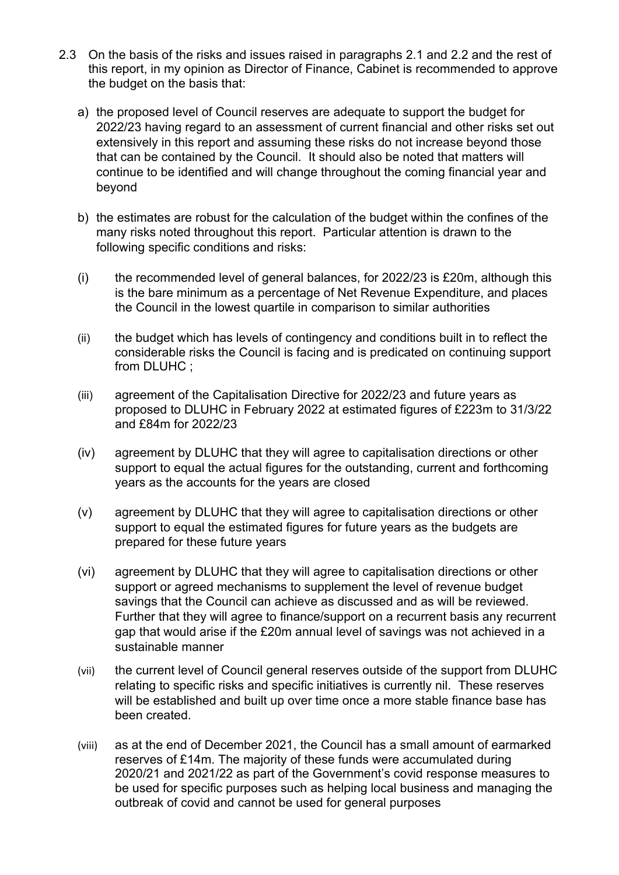- 2.3 On the basis of the risks and issues raised in paragraphs 2.1 and 2.2 and the rest of this report, in my opinion as Director of Finance, Cabinet is recommended to approve the budget on the basis that:
	- a) the proposed level of Council reserves are adequate to support the budget for 2022/23 having regard to an assessment of current financial and other risks set out extensively in this report and assuming these risks do not increase beyond those that can be contained by the Council. It should also be noted that matters will continue to be identified and will change throughout the coming financial year and beyond
	- b) the estimates are robust for the calculation of the budget within the confines of the many risks noted throughout this report. Particular attention is drawn to the following specific conditions and risks:
	- (i) the recommended level of general balances, for 2022/23 is  $£20m$ , although this is the bare minimum as a percentage of Net Revenue Expenditure, and places the Council in the lowest quartile in comparison to similar authorities
	- (ii) the budget which has levels of contingency and conditions built in to reflect the considerable risks the Council is facing and is predicated on continuing support from DLUHC ;
	- (iii) agreement of the Capitalisation Directive for 2022/23 and future years as proposed to DLUHC in February 2022 at estimated figures of £223m to 31/3/22 and £84m for 2022/23
	- (iv) agreement by DLUHC that they will agree to capitalisation directions or other support to equal the actual figures for the outstanding, current and forthcoming years as the accounts for the years are closed
	- (v) agreement by DLUHC that they will agree to capitalisation directions or other support to equal the estimated figures for future years as the budgets are prepared for these future years
	- (vi) agreement by DLUHC that they will agree to capitalisation directions or other support or agreed mechanisms to supplement the level of revenue budget savings that the Council can achieve as discussed and as will be reviewed. Further that they will agree to finance/support on a recurrent basis any recurrent gap that would arise if the £20m annual level of savings was not achieved in a sustainable manner
	- (vii) the current level of Council general reserves outside of the support from DLUHC relating to specific risks and specific initiatives is currently nil. These reserves will be established and built up over time once a more stable finance base has been created.
	- (viii) as at the end of December 2021, the Council has a small amount of earmarked reserves of £14m. The majority of these funds were accumulated during 2020/21 and 2021/22 as part of the Government's covid response measures to be used for specific purposes such as helping local business and managing the outbreak of covid and cannot be used for general purposes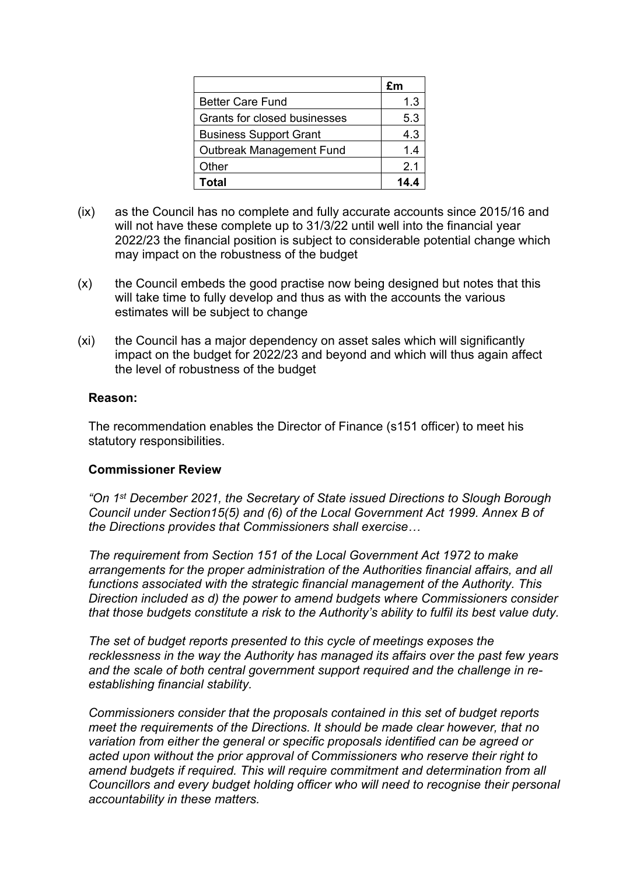|                               | £m             |
|-------------------------------|----------------|
| <b>Better Care Fund</b>       | 1.3            |
| Grants for closed businesses  | 5.3            |
| <b>Business Support Grant</b> | 4.3            |
| Outbreak Management Fund      | 1.4            |
| Other                         | 2 <sub>1</sub> |
| Total                         | 14 A           |

- (ix) as the Council has no complete and fully accurate accounts since 2015/16 and will not have these complete up to 31/3/22 until well into the financial year 2022/23 the financial position is subject to considerable potential change which may impact on the robustness of the budget
- (x) the Council embeds the good practise now being designed but notes that this will take time to fully develop and thus as with the accounts the various estimates will be subject to change
- (xi) the Council has a major dependency on asset sales which will significantly impact on the budget for 2022/23 and beyond and which will thus again affect the level of robustness of the budget

#### **Reason:**

The recommendation enables the Director of Finance (s151 officer) to meet his statutory responsibilities.

#### **Commissioner Review**

*"On 1 st December 2021, the Secretary of State issued Directions to Slough Borough Council under Section15(5) and (6) of the Local Government Act 1999. Annex B of the Directions provides that Commissioners shall exercise…*

*The requirement from Section 151 of the Local Government Act 1972 to make arrangements for the proper administration of the Authorities financial affairs, and all functions associated with the strategic financial management of the Authority. This Direction included as d) the power to amend budgets where Commissioners consider that those budgets constitute a risk to the Authority's ability to fulfil its best value duty.*

*The set of budget reports presented to this cycle of meetings exposes the recklessness in the way the Authority has managed its affairs over the past few years and the scale of both central government support required and the challenge in reestablishing financial stability.*

*Commissioners consider that the proposals contained in this set of budget reports meet the requirements of the Directions. It should be made clear however, that no variation from either the general or specific proposals identified can be agreed or acted upon without the prior approval of Commissioners who reserve their right to amend budgets if required. This will require commitment and determination from all Councillors and every budget holding officer who will need to recognise their personal accountability in these matters.*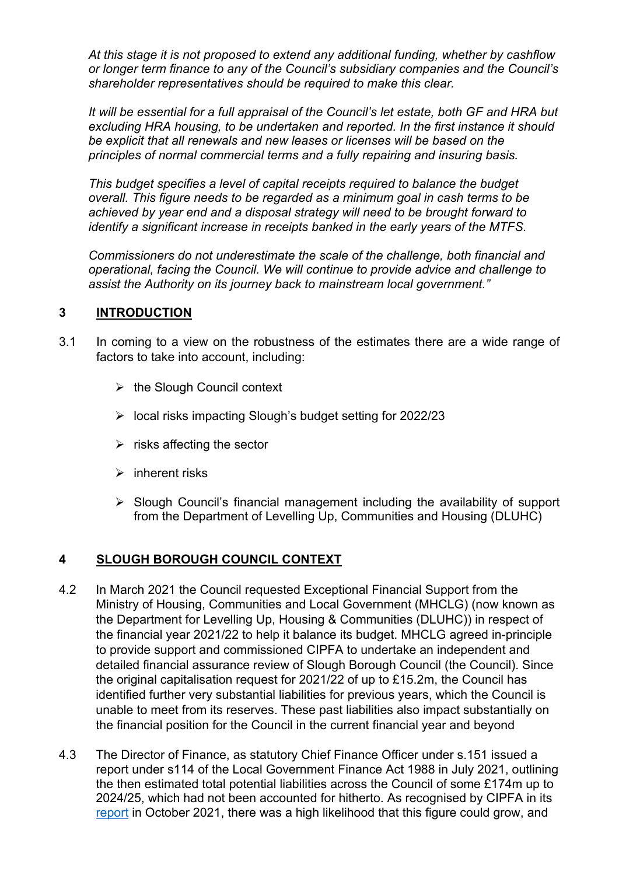*At this stage it is not proposed to extend any additional funding, whether by cashflow or longer term finance to any of the Council's subsidiary companies and the Council's shareholder representatives should be required to make this clear.*

*It will be essential for a full appraisal of the Council's let estate, both GF and HRA but excluding HRA housing, to be undertaken and reported. In the first instance it should be explicit that all renewals and new leases or licenses will be based on the principles of normal commercial terms and a fully repairing and insuring basis.*

*This budget specifies a level of capital receipts required to balance the budget overall. This figure needs to be regarded as a minimum goal in cash terms to be achieved by year end and a disposal strategy will need to be brought forward to identify a significant increase in receipts banked in the early years of the MTFS.*

*Commissioners do not underestimate the scale of the challenge, both financial and operational, facing the Council. We will continue to provide advice and challenge to assist the Authority on its journey back to mainstream local government."*

## **3 INTRODUCTION**

- 3.1 In coming to a view on the robustness of the estimates there are a wide range of factors to take into account, including:
	- $\triangleright$  the Slough Council context
	- $\geq$  local risks impacting Slough's budget setting for 2022/23
	- $\triangleright$  risks affecting the sector
	- $\triangleright$  inherent risks
	- $\triangleright$  Slough Council's financial management including the availability of support from the Department of Levelling Up, Communities and Housing (DLUHC)

# **4 SLOUGH BOROUGH COUNCIL CONTEXT**

- 4.2 In March 2021 the Council requested Exceptional Financial Support from the Ministry of Housing, Communities and Local Government (MHCLG) (now known as the Department for Levelling Up, Housing & Communities (DLUHC)) in respect of the financial year 2021/22 to help it balance its budget. MHCLG agreed in-principle to provide support and commissioned CIPFA to undertake an independent and detailed financial assurance review of Slough Borough Council (the Council). Since the original capitalisation request for 2021/22 of up to £15.2m, the Council has identified further very substantial liabilities for previous years, which the Council is unable to meet from its reserves. These past liabilities also impact substantially on the financial position for the Council in the current financial year and beyond
- 4.3 The Director of Finance, as statutory Chief Finance Officer under s.151 issued a report under s114 of the Local Government Finance Act 1988 in July 2021, outlining the then estimated total potential liabilities across the Council of some £174m up to 2024/25, which had not been accounted for hitherto. As recognised by CIPFA in its [report](https://assets.publishing.service.gov.uk/government/uploads/system/uploads/attachment_data/file/1028056/Slough_Cipfa_Final_-_web_version.pdf) in October 2021, there was a high likelihood that this figure could grow, and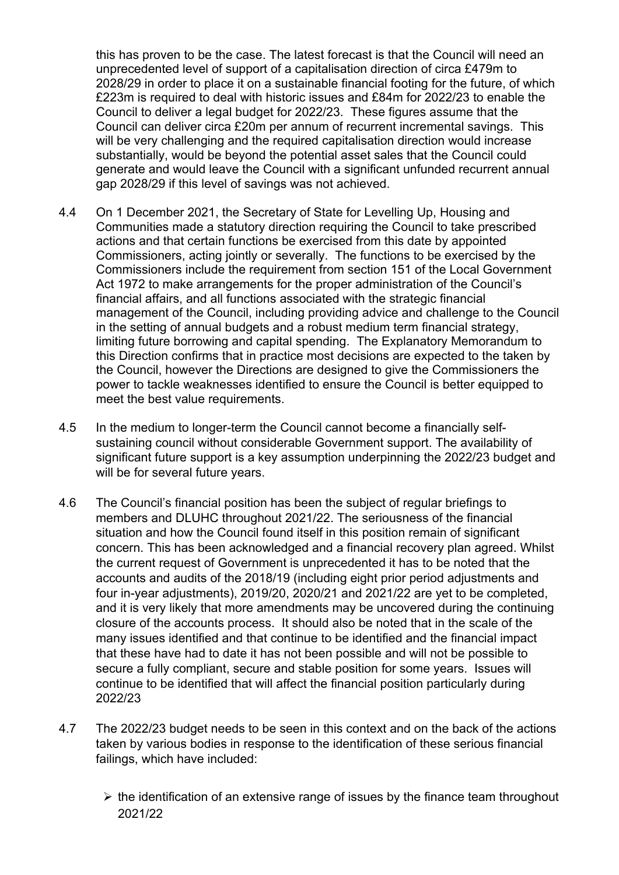this has proven to be the case. The latest forecast is that the Council will need an unprecedented level of support of a capitalisation direction of circa £479m to 2028/29 in order to place it on a sustainable financial footing for the future, of which £223m is required to deal with historic issues and £84m for 2022/23 to enable the Council to deliver a legal budget for 2022/23. These figures assume that the Council can deliver circa £20m per annum of recurrent incremental savings. This will be very challenging and the required capitalisation direction would increase substantially, would be beyond the potential asset sales that the Council could generate and would leave the Council with a significant unfunded recurrent annual gap 2028/29 if this level of savings was not achieved.

- 4.4 On 1 December 2021, the Secretary of State for Levelling Up, Housing and Communities made a statutory direction requiring the Council to take prescribed actions and that certain functions be exercised from this date by appointed Commissioners, acting jointly or severally. The functions to be exercised by the Commissioners include the requirement from section 151 of the Local Government Act 1972 to make arrangements for the proper administration of the Council's financial affairs, and all functions associated with the strategic financial management of the Council, including providing advice and challenge to the Council in the setting of annual budgets and a robust medium term financial strategy, limiting future borrowing and capital spending. The Explanatory Memorandum to this Direction confirms that in practice most decisions are expected to the taken by the Council, however the Directions are designed to give the Commissioners the power to tackle weaknesses identified to ensure the Council is better equipped to meet the best value requirements.
- 4.5 In the medium to longer-term the Council cannot become a financially selfsustaining council without considerable Government support. The availability of significant future support is a key assumption underpinning the 2022/23 budget and will be for several future years.
- 4.6 The Council's financial position has been the subject of regular briefings to members and DLUHC throughout 2021/22. The seriousness of the financial situation and how the Council found itself in this position remain of significant concern. This has been acknowledged and a financial recovery plan agreed. Whilst the current request of Government is unprecedented it has to be noted that the accounts and audits of the 2018/19 (including eight prior period adjustments and four in-year adjustments), 2019/20, 2020/21 and 2021/22 are yet to be completed, and it is very likely that more amendments may be uncovered during the continuing closure of the accounts process. It should also be noted that in the scale of the many issues identified and that continue to be identified and the financial impact that these have had to date it has not been possible and will not be possible to secure a fully compliant, secure and stable position for some years. Issues will continue to be identified that will affect the financial position particularly during 2022/23
- 4.7 The 2022/23 budget needs to be seen in this context and on the back of the actions taken by various bodies in response to the identification of these serious financial failings, which have included:
	- $\triangleright$  the identification of an extensive range of issues by the finance team throughout 2021/22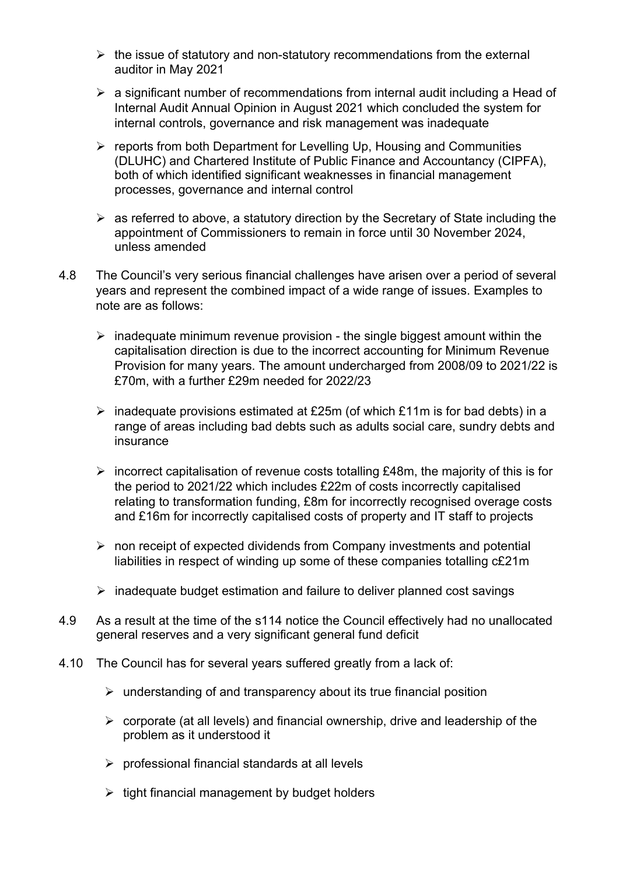- $\triangleright$  the issue of statutory and non-statutory recommendations from the external auditor in May 2021
- $\triangleright$  a significant number of recommendations from internal audit including a Head of Internal Audit Annual Opinion in August 2021 which concluded the system for internal controls, governance and risk management was inadequate
- $\triangleright$  reports from both Department for Levelling Up, Housing and Communities (DLUHC) and Chartered Institute of Public Finance and Accountancy (CIPFA), both of which identified significant weaknesses in financial management processes, governance and internal control
- $\triangleright$  as referred to above, a statutory direction by the Secretary of State including the appointment of Commissioners to remain in force until 30 November 2024, unless amended
- 4.8 The Council's very serious financial challenges have arisen over a period of several years and represent the combined impact of a wide range of issues. Examples to note are as follows:
	- $\triangleright$  inadequate minimum revenue provision the single biggest amount within the capitalisation direction is due to the incorrect accounting for Minimum Revenue Provision for many years. The amount undercharged from 2008/09 to 2021/22 is £70m, with a further £29m needed for 2022/23
	- $\triangleright$  inadequate provisions estimated at £25m (of which £11m is for bad debts) in a range of areas including bad debts such as adults social care, sundry debts and insurance
	- $\triangleright$  incorrect capitalisation of revenue costs totalling £48m, the majority of this is for the period to 2021/22 which includes £22m of costs incorrectly capitalised relating to transformation funding, £8m for incorrectly recognised overage costs and £16m for incorrectly capitalised costs of property and IT staff to projects
	- $\triangleright$  non receipt of expected dividends from Company investments and potential liabilities in respect of winding up some of these companies totalling c£21m
	- $\triangleright$  inadequate budget estimation and failure to deliver planned cost savings
- 4.9 As a result at the time of the s114 notice the Council effectively had no unallocated general reserves and a very significant general fund deficit
- 4.10 The Council has for several years suffered greatly from a lack of:
	- $\triangleright$  understanding of and transparency about its true financial position
	- $\triangleright$  corporate (at all levels) and financial ownership, drive and leadership of the problem as it understood it
	- $\triangleright$  professional financial standards at all levels
	- $\triangleright$  tight financial management by budget holders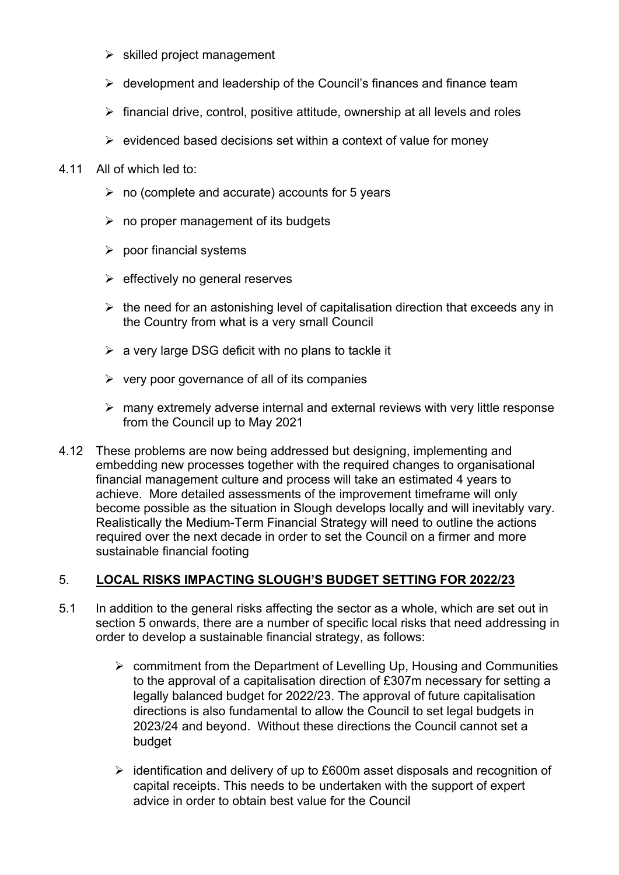- $\triangleright$  skilled project management
- $\triangleright$  development and leadership of the Council's finances and finance team
- $\triangleright$  financial drive, control, positive attitude, ownership at all levels and roles
- $\triangleright$  evidenced based decisions set within a context of value for money
- 4.11 All of which led to:
	- $\triangleright$  no (complete and accurate) accounts for 5 years
	- $\triangleright$  no proper management of its budgets
	- $\triangleright$  poor financial systems
	- $\triangleright$  effectively no general reserves
	- $\triangleright$  the need for an astonishing level of capitalisation direction that exceeds any in the Country from what is a very small Council
	- $\triangleright$  a very large DSG deficit with no plans to tackle it
	- $\triangleright$  very poor governance of all of its companies
	- $\triangleright$  many extremely adverse internal and external reviews with very little response from the Council up to May 2021
- 4.12 These problems are now being addressed but designing, implementing and embedding new processes together with the required changes to organisational financial management culture and process will take an estimated 4 years to achieve. More detailed assessments of the improvement timeframe will only become possible as the situation in Slough develops locally and will inevitably vary. Realistically the Medium-Term Financial Strategy will need to outline the actions required over the next decade in order to set the Council on a firmer and more sustainable financial footing

#### 5. **LOCAL RISKS IMPACTING SLOUGH'S BUDGET SETTING FOR 2022/23**

- 5.1 In addition to the general risks affecting the sector as a whole, which are set out in section 5 onwards, there are a number of specific local risks that need addressing in order to develop a sustainable financial strategy, as follows:
	- $\triangleright$  commitment from the Department of Levelling Up, Housing and Communities to the approval of a capitalisation direction of £307m necessary for setting a legally balanced budget for 2022/23. The approval of future capitalisation directions is also fundamental to allow the Council to set legal budgets in 2023/24 and beyond. Without these directions the Council cannot set a budget
	- $\triangleright$  identification and delivery of up to £600m asset disposals and recognition of capital receipts. This needs to be undertaken with the support of expert advice in order to obtain best value for the Council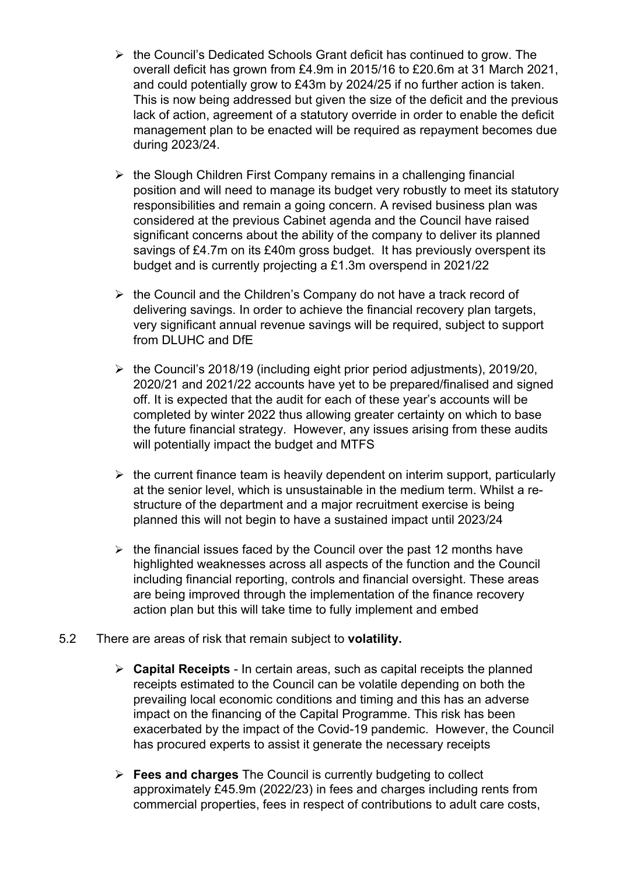- $\triangleright$  the Council's Dedicated Schools Grant deficit has continued to grow. The overall deficit has grown from £4.9m in 2015/16 to £20.6m at 31 March 2021, and could potentially grow to £43m by 2024/25 if no further action is taken. This is now being addressed but given the size of the deficit and the previous lack of action, agreement of a statutory override in order to enable the deficit management plan to be enacted will be required as repayment becomes due during 2023/24.
- $\triangleright$  the Slough Children First Company remains in a challenging financial position and will need to manage its budget very robustly to meet its statutory responsibilities and remain a going concern. A revised business plan was considered at the previous Cabinet agenda and the Council have raised significant concerns about the ability of the company to deliver its planned savings of £4.7m on its £40m gross budget. It has previously overspent its budget and is currently projecting a £1.3m overspend in 2021/22
- $\triangleright$  the Council and the Children's Company do not have a track record of delivering savings. In order to achieve the financial recovery plan targets, very significant annual revenue savings will be required, subject to support from DLUHC and DfE
- $\triangleright$  the Council's 2018/19 (including eight prior period adjustments), 2019/20, 2020/21 and 2021/22 accounts have yet to be prepared/finalised and signed off. It is expected that the audit for each of these year's accounts will be completed by winter 2022 thus allowing greater certainty on which to base the future financial strategy. However, any issues arising from these audits will potentially impact the budget and MTFS
- $\triangleright$  the current finance team is heavily dependent on interim support, particularly at the senior level, which is unsustainable in the medium term. Whilst a restructure of the department and a major recruitment exercise is being planned this will not begin to have a sustained impact until 2023/24
- $\triangleright$  the financial issues faced by the Council over the past 12 months have highlighted weaknesses across all aspects of the function and the Council including financial reporting, controls and financial oversight. These areas are being improved through the implementation of the finance recovery action plan but this will take time to fully implement and embed
- 5.2 There are areas of risk that remain subject to **volatility.**
	- **Capital Receipts** In certain areas, such as capital receipts the planned receipts estimated to the Council can be volatile depending on both the prevailing local economic conditions and timing and this has an adverse impact on the financing of the Capital Programme. This risk has been exacerbated by the impact of the Covid-19 pandemic. However, the Council has procured experts to assist it generate the necessary receipts
	- **Fees and charges** The Council is currently budgeting to collect approximately £45.9m (2022/23) in fees and charges including rents from commercial properties, fees in respect of contributions to adult care costs,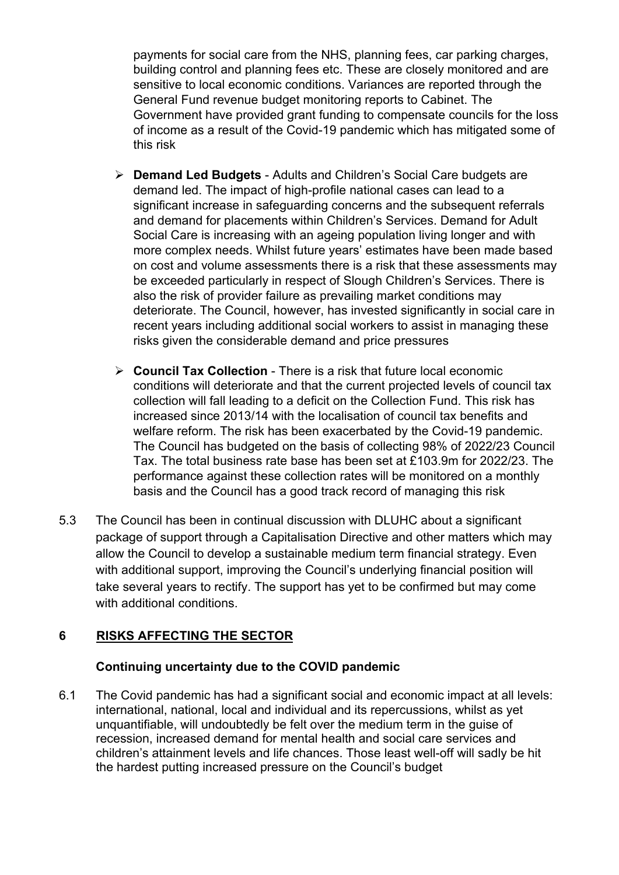payments for social care from the NHS, planning fees, car parking charges, building control and planning fees etc. These are closely monitored and are sensitive to local economic conditions. Variances are reported through the General Fund revenue budget monitoring reports to Cabinet. The Government have provided grant funding to compensate councils for the loss of income as a result of the Covid-19 pandemic which has mitigated some of this risk

- **Demand Led Budgets** Adults and Children's Social Care budgets are demand led. The impact of high-profile national cases can lead to a significant increase in safeguarding concerns and the subsequent referrals and demand for placements within Children's Services. Demand for Adult Social Care is increasing with an ageing population living longer and with more complex needs. Whilst future years' estimates have been made based on cost and volume assessments there is a risk that these assessments may be exceeded particularly in respect of Slough Children's Services. There is also the risk of provider failure as prevailing market conditions may deteriorate. The Council, however, has invested significantly in social care in recent years including additional social workers to assist in managing these risks given the considerable demand and price pressures
- **Council Tax Collection** There is a risk that future local economic conditions will deteriorate and that the current projected levels of council tax collection will fall leading to a deficit on the Collection Fund. This risk has increased since 2013/14 with the localisation of council tax benefits and welfare reform. The risk has been exacerbated by the Covid-19 pandemic. The Council has budgeted on the basis of collecting 98% of 2022/23 Council Tax. The total business rate base has been set at £103.9m for 2022/23. The performance against these collection rates will be monitored on a monthly basis and the Council has a good track record of managing this risk
- 5.3 The Council has been in continual discussion with DLUHC about a significant package of support through a Capitalisation Directive and other matters which may allow the Council to develop a sustainable medium term financial strategy. Even with additional support, improving the Council's underlying financial position will take several years to rectify. The support has yet to be confirmed but may come with additional conditions.

# **6 RISKS AFFECTING THE SECTOR**

# **Continuing uncertainty due to the COVID pandemic**

6.1 The Covid pandemic has had a significant social and economic impact at all levels: international, national, local and individual and its repercussions, whilst as yet unquantifiable, will undoubtedly be felt over the medium term in the guise of recession, increased demand for mental health and social care services and children's attainment levels and life chances. Those least well-off will sadly be hit the hardest putting increased pressure on the Council's budget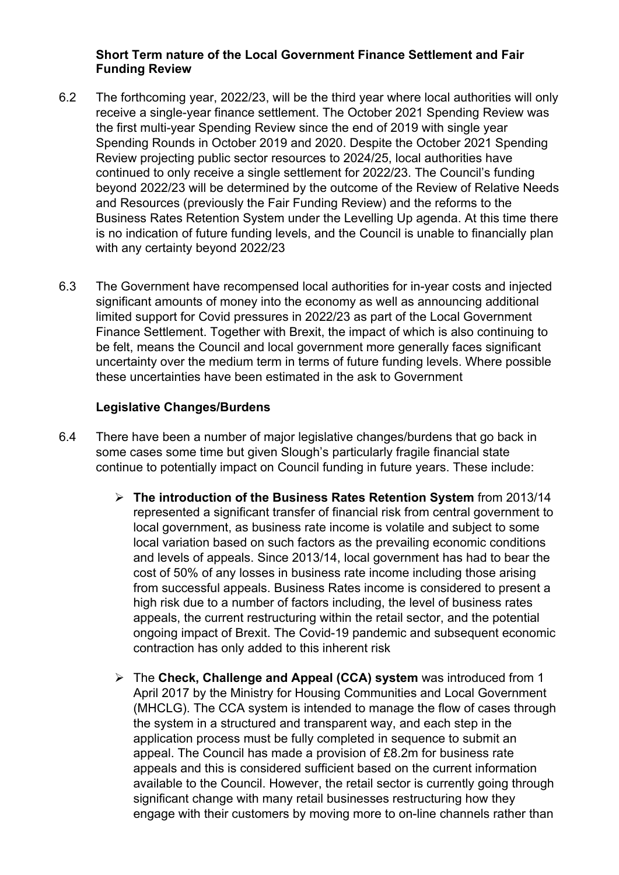## **Short Term nature of the Local Government Finance Settlement and Fair Funding Review**

- 6.2 The forthcoming year, 2022/23, will be the third year where local authorities will only receive a single-year finance settlement. The October 2021 Spending Review was the first multi-year Spending Review since the end of 2019 with single year Spending Rounds in October 2019 and 2020. Despite the October 2021 Spending Review projecting public sector resources to 2024/25, local authorities have continued to only receive a single settlement for 2022/23. The Council's funding beyond 2022/23 will be determined by the outcome of the Review of Relative Needs and Resources (previously the Fair Funding Review) and the reforms to the Business Rates Retention System under the Levelling Up agenda. At this time there is no indication of future funding levels, and the Council is unable to financially plan with any certainty beyond 2022/23
- 6.3 The Government have recompensed local authorities for in-year costs and injected significant amounts of money into the economy as well as announcing additional limited support for Covid pressures in 2022/23 as part of the Local Government Finance Settlement. Together with Brexit, the impact of which is also continuing to be felt, means the Council and local government more generally faces significant uncertainty over the medium term in terms of future funding levels. Where possible these uncertainties have been estimated in the ask to Government

## **Legislative Changes/Burdens**

- 6.4 There have been a number of major legislative changes/burdens that go back in some cases some time but given Slough's particularly fragile financial state continue to potentially impact on Council funding in future years. These include:
	- **The introduction of the Business Rates Retention System** from 2013/14 represented a significant transfer of financial risk from central government to local government, as business rate income is volatile and subject to some local variation based on such factors as the prevailing economic conditions and levels of appeals. Since 2013/14, local government has had to bear the cost of 50% of any losses in business rate income including those arising from successful appeals. Business Rates income is considered to present a high risk due to a number of factors including, the level of business rates appeals, the current restructuring within the retail sector, and the potential ongoing impact of Brexit. The Covid-19 pandemic and subsequent economic contraction has only added to this inherent risk
	- The **Check, Challenge and Appeal (CCA) system** was introduced from 1 April 2017 by the Ministry for Housing Communities and Local Government (MHCLG). The CCA system is intended to manage the flow of cases through the system in a structured and transparent way, and each step in the application process must be fully completed in sequence to submit an appeal. The Council has made a provision of £8.2m for business rate appeals and this is considered sufficient based on the current information available to the Council. However, the retail sector is currently going through significant change with many retail businesses restructuring how they engage with their customers by moving more to on-line channels rather than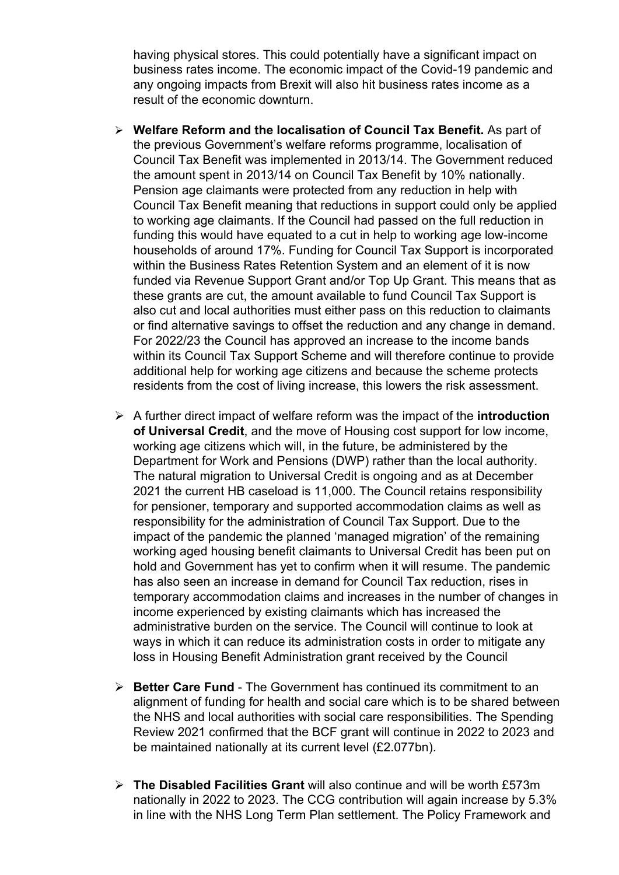having physical stores. This could potentially have a significant impact on business rates income. The economic impact of the Covid-19 pandemic and any ongoing impacts from Brexit will also hit business rates income as a result of the economic downturn.

- **Welfare Reform and the localisation of Council Tax Benefit.** As part of the previous Government's welfare reforms programme, localisation of Council Tax Benefit was implemented in 2013/14. The Government reduced the amount spent in 2013/14 on Council Tax Benefit by 10% nationally. Pension age claimants were protected from any reduction in help with Council Tax Benefit meaning that reductions in support could only be applied to working age claimants. If the Council had passed on the full reduction in funding this would have equated to a cut in help to working age low-income households of around 17%. Funding for Council Tax Support is incorporated within the Business Rates Retention System and an element of it is now funded via Revenue Support Grant and/or Top Up Grant. This means that as these grants are cut, the amount available to fund Council Tax Support is also cut and local authorities must either pass on this reduction to claimants or find alternative savings to offset the reduction and any change in demand. For 2022/23 the Council has approved an increase to the income bands within its Council Tax Support Scheme and will therefore continue to provide additional help for working age citizens and because the scheme protects residents from the cost of living increase, this lowers the risk assessment.
- A further direct impact of welfare reform was the impact of the **introduction of Universal Credit**, and the move of Housing cost support for low income, working age citizens which will, in the future, be administered by the Department for Work and Pensions (DWP) rather than the local authority. The natural migration to Universal Credit is ongoing and as at December 2021 the current HB caseload is 11,000. The Council retains responsibility for pensioner, temporary and supported accommodation claims as well as responsibility for the administration of Council Tax Support. Due to the impact of the pandemic the planned 'managed migration' of the remaining working aged housing benefit claimants to Universal Credit has been put on hold and Government has yet to confirm when it will resume. The pandemic has also seen an increase in demand for Council Tax reduction, rises in temporary accommodation claims and increases in the number of changes in income experienced by existing claimants which has increased the administrative burden on the service. The Council will continue to look at ways in which it can reduce its administration costs in order to mitigate any loss in Housing Benefit Administration grant received by the Council
- **Better Care Fund** The Government has continued its commitment to an alignment of funding for health and social care which is to be shared between the NHS and local authorities with social care responsibilities. The Spending Review 2021 confirmed that the BCF grant will continue in 2022 to 2023 and be maintained nationally at its current level (£2.077bn).
- **The Disabled Facilities Grant** will also continue and will be worth £573m nationally in 2022 to 2023. The CCG contribution will again increase by 5.3% in line with the NHS Long Term Plan settlement. The Policy Framework and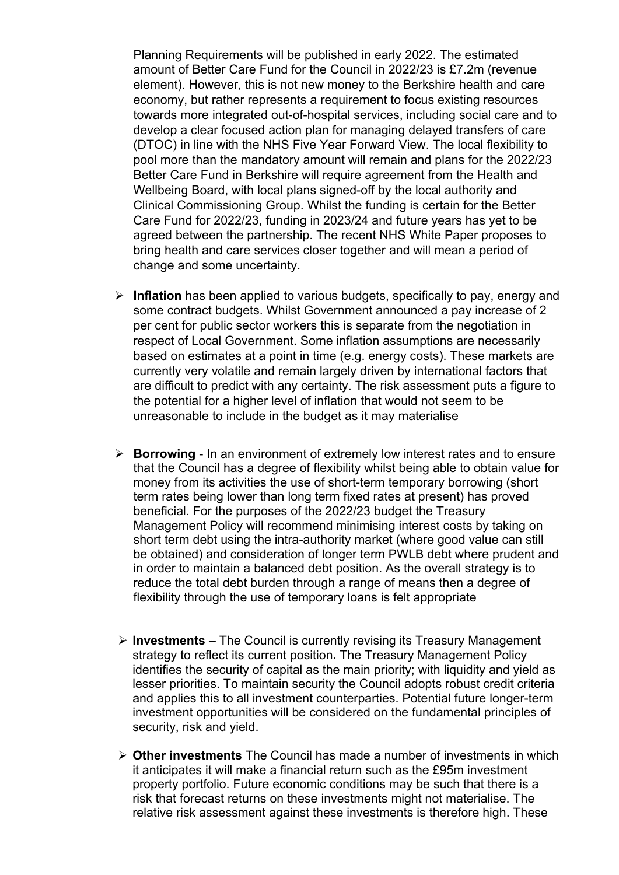Planning Requirements will be published in early 2022. The estimated amount of Better Care Fund for the Council in 2022/23 is £7.2m (revenue element). However, this is not new money to the Berkshire health and care economy, but rather represents a requirement to focus existing resources towards more integrated out-of-hospital services, including social care and to develop a clear focused action plan for managing delayed transfers of care (DTOC) in line with the NHS Five Year Forward View. The local flexibility to pool more than the mandatory amount will remain and plans for the 2022/23 Better Care Fund in Berkshire will require agreement from the Health and Wellbeing Board, with local plans signed-off by the local authority and Clinical Commissioning Group. Whilst the funding is certain for the Better Care Fund for 2022/23, funding in 2023/24 and future years has yet to be agreed between the partnership. The recent NHS White Paper proposes to bring health and care services closer together and will mean a period of change and some uncertainty.

- **Inflation** has been applied to various budgets, specifically to pay, energy and some contract budgets. Whilst Government announced a pay increase of 2 per cent for public sector workers this is separate from the negotiation in respect of Local Government. Some inflation assumptions are necessarily based on estimates at a point in time (e.g. energy costs). These markets are currently very volatile and remain largely driven by international factors that are difficult to predict with any certainty. The risk assessment puts a figure to the potential for a higher level of inflation that would not seem to be unreasonable to include in the budget as it may materialise
- **Borrowing** In an environment of extremely low interest rates and to ensure that the Council has a degree of flexibility whilst being able to obtain value for money from its activities the use of short-term temporary borrowing (short term rates being lower than long term fixed rates at present) has proved beneficial. For the purposes of the 2022/23 budget the Treasury Management Policy will recommend minimising interest costs by taking on short term debt using the intra-authority market (where good value can still be obtained) and consideration of longer term PWLB debt where prudent and in order to maintain a balanced debt position. As the overall strategy is to reduce the total debt burden through a range of means then a degree of flexibility through the use of temporary loans is felt appropriate
- **Investments –** The Council is currently revising its Treasury Management strategy to reflect its current position**.** The Treasury Management Policy identifies the security of capital as the main priority; with liquidity and yield as lesser priorities. To maintain security the Council adopts robust credit criteria and applies this to all investment counterparties. Potential future longer-term investment opportunities will be considered on the fundamental principles of security, risk and yield.
- **Other investments** The Council has made a number of investments in which it anticipates it will make a financial return such as the £95m investment property portfolio. Future economic conditions may be such that there is a risk that forecast returns on these investments might not materialise. The relative risk assessment against these investments is therefore high. These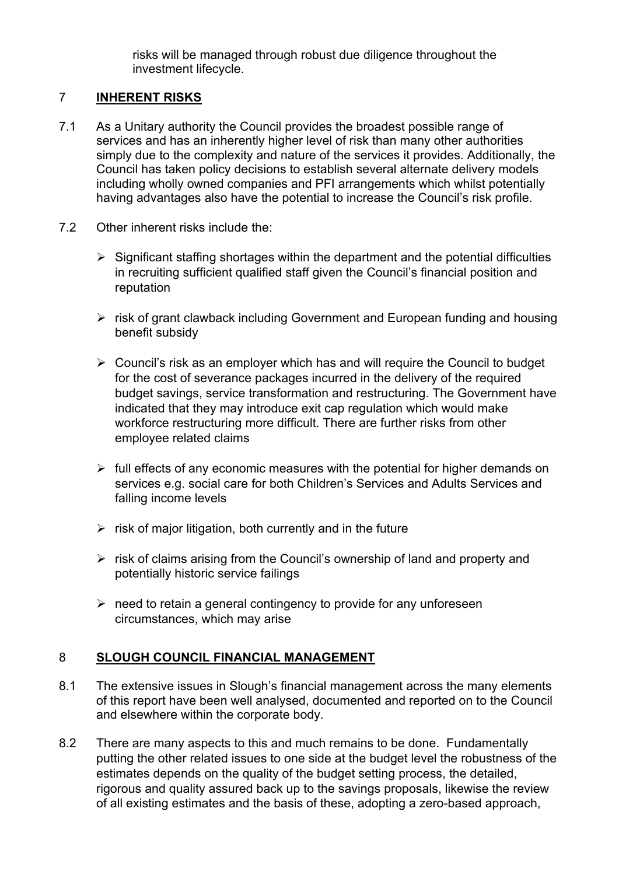risks will be managed through robust due diligence throughout the investment lifecycle.

# 7 **INHERENT RISKS**

- 7.1 As a Unitary authority the Council provides the broadest possible range of services and has an inherently higher level of risk than many other authorities simply due to the complexity and nature of the services it provides. Additionally, the Council has taken policy decisions to establish several alternate delivery models including wholly owned companies and PFI arrangements which whilst potentially having advantages also have the potential to increase the Council's risk profile.
- 7.2 Other inherent risks include the:
	- $\triangleright$  Significant staffing shortages within the department and the potential difficulties in recruiting sufficient qualified staff given the Council's financial position and reputation
	- $\triangleright$  risk of grant clawback including Government and European funding and housing benefit subsidy
	- $\triangleright$  Council's risk as an employer which has and will require the Council to budget for the cost of severance packages incurred in the delivery of the required budget savings, service transformation and restructuring. The Government have indicated that they may introduce exit cap regulation which would make workforce restructuring more difficult. There are further risks from other employee related claims
	- $\triangleright$  full effects of any economic measures with the potential for higher demands on services e.g. social care for both Children's Services and Adults Services and falling income levels
	- $\triangleright$  risk of major litigation, both currently and in the future
	- $\triangleright$  risk of claims arising from the Council's ownership of land and property and potentially historic service failings
	- $\triangleright$  need to retain a general contingency to provide for any unforeseen circumstances, which may arise

# 8 **SLOUGH COUNCIL FINANCIAL MANAGEMENT**

- 8.1 The extensive issues in Slough's financial management across the many elements of this report have been well analysed, documented and reported on to the Council and elsewhere within the corporate body.
- 8.2 There are many aspects to this and much remains to be done. Fundamentally putting the other related issues to one side at the budget level the robustness of the estimates depends on the quality of the budget setting process, the detailed, rigorous and quality assured back up to the savings proposals, likewise the review of all existing estimates and the basis of these, adopting a zero-based approach,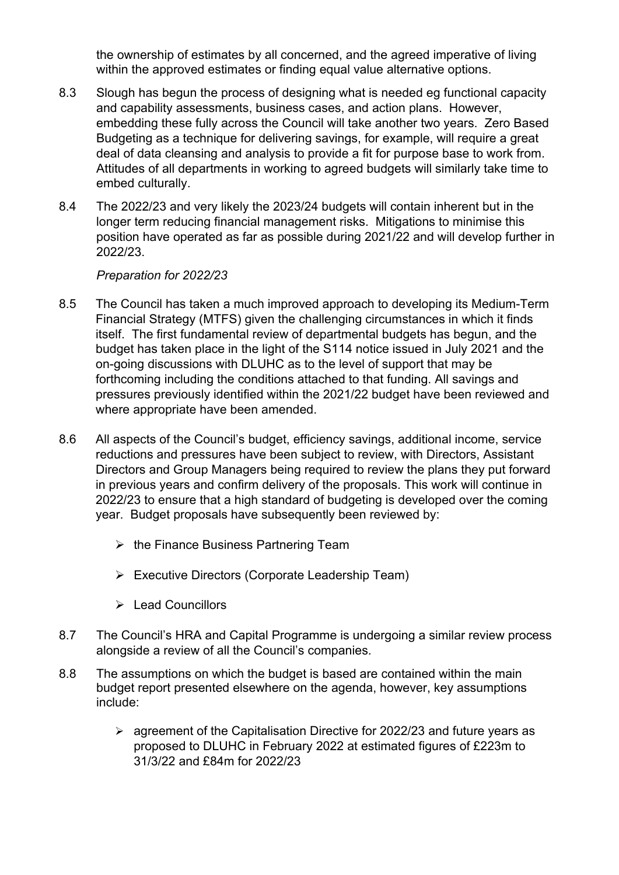the ownership of estimates by all concerned, and the agreed imperative of living within the approved estimates or finding equal value alternative options.

- 8.3 Slough has begun the process of designing what is needed eg functional capacity and capability assessments, business cases, and action plans. However, embedding these fully across the Council will take another two years. Zero Based Budgeting as a technique for delivering savings, for example, will require a great deal of data cleansing and analysis to provide a fit for purpose base to work from. Attitudes of all departments in working to agreed budgets will similarly take time to embed culturally.
- 8.4 The 2022/23 and very likely the 2023/24 budgets will contain inherent but in the longer term reducing financial management risks. Mitigations to minimise this position have operated as far as possible during 2021/22 and will develop further in 2022/23.

*Preparation for 2022/23*

- 8.5 The Council has taken a much improved approach to developing its Medium-Term Financial Strategy (MTFS) given the challenging circumstances in which it finds itself. The first fundamental review of departmental budgets has begun, and the budget has taken place in the light of the S114 notice issued in July 2021 and the on-going discussions with DLUHC as to the level of support that may be forthcoming including the conditions attached to that funding. All savings and pressures previously identified within the 2021/22 budget have been reviewed and where appropriate have been amended.
- 8.6 All aspects of the Council's budget, efficiency savings, additional income, service reductions and pressures have been subject to review, with Directors, Assistant Directors and Group Managers being required to review the plans they put forward in previous years and confirm delivery of the proposals. This work will continue in 2022/23 to ensure that a high standard of budgeting is developed over the coming year. Budget proposals have subsequently been reviewed by:
	- $\triangleright$  the Finance Business Partnering Team
	- $\triangleright$  Executive Directors (Corporate Leadership Team)
	- ▶ Lead Councillors
- 8.7 The Council's HRA and Capital Programme is undergoing a similar review process alongside a review of all the Council's companies.
- 8.8 The assumptions on which the budget is based are contained within the main budget report presented elsewhere on the agenda, however, key assumptions include:
	- $\geq$  agreement of the Capitalisation Directive for 2022/23 and future years as proposed to DLUHC in February 2022 at estimated figures of £223m to 31/3/22 and £84m for 2022/23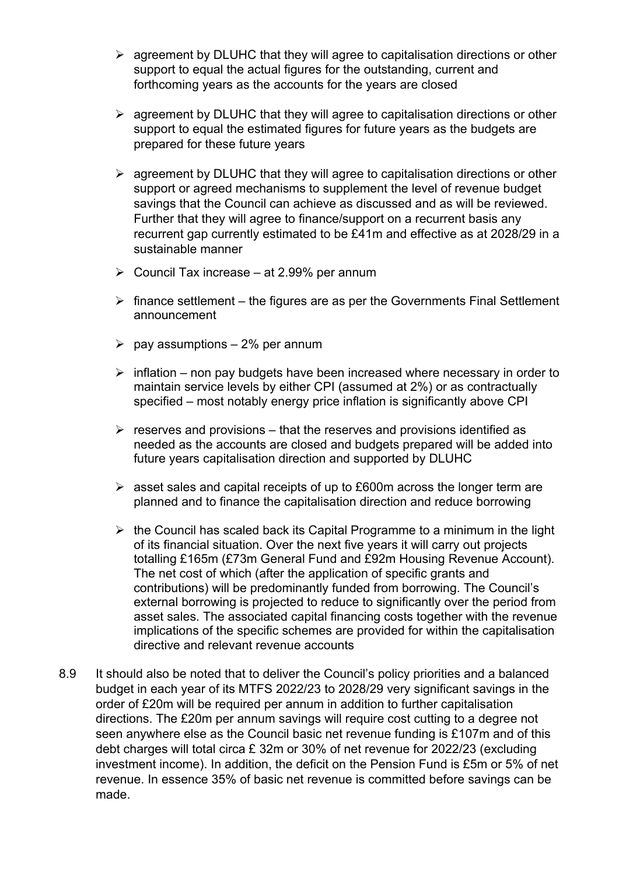- $\triangleright$  agreement by DLUHC that they will agree to capitalisation directions or other support to equal the actual figures for the outstanding, current and forthcoming years as the accounts for the years are closed
- $\triangleright$  agreement by DLUHC that they will agree to capitalisation directions or other support to equal the estimated figures for future years as the budgets are prepared for these future years
- $\triangleright$  agreement by DLUHC that they will agree to capitalisation directions or other support or agreed mechanisms to supplement the level of revenue budget savings that the Council can achieve as discussed and as will be reviewed. Further that they will agree to finance/support on a recurrent basis any recurrent gap currently estimated to be £41m and effective as at 2028/29 in a sustainable manner
- $\triangleright$  Council Tax increase at 2.99% per annum
- $\triangleright$  finance settlement the figures are as per the Governments Final Settlement announcement
- $\geq$  pay assumptions 2% per annum
- $\triangleright$  inflation non pay budgets have been increased where necessary in order to maintain service levels by either CPI (assumed at 2%) or as contractually specified – most notably energy price inflation is significantly above CPI
- $\triangleright$  reserves and provisions that the reserves and provisions identified as needed as the accounts are closed and budgets prepared will be added into future years capitalisation direction and supported by DLUHC
- $\geq$  asset sales and capital receipts of up to £600m across the longer term are planned and to finance the capitalisation direction and reduce borrowing
- $\triangleright$  the Council has scaled back its Capital Programme to a minimum in the light of its financial situation. Over the next five years it will carry out projects totalling £165m (£73m General Fund and £92m Housing Revenue Account). The net cost of which (after the application of specific grants and contributions) will be predominantly funded from borrowing. The Council's external borrowing is projected to reduce to significantly over the period from asset sales. The associated capital financing costs together with the revenue implications of the specific schemes are provided for within the capitalisation directive and relevant revenue accounts
- 8.9 It should also be noted that to deliver the Council's policy priorities and a balanced budget in each year of its MTFS 2022/23 to 2028/29 very significant savings in the order of £20m will be required per annum in addition to further capitalisation directions. The £20m per annum savings will require cost cutting to a degree not seen anywhere else as the Council basic net revenue funding is £107m and of this debt charges will total circa £ 32m or 30% of net revenue for 2022/23 (excluding investment income). In addition, the deficit on the Pension Fund is £5m or 5% of net revenue. In essence 35% of basic net revenue is committed before savings can be made.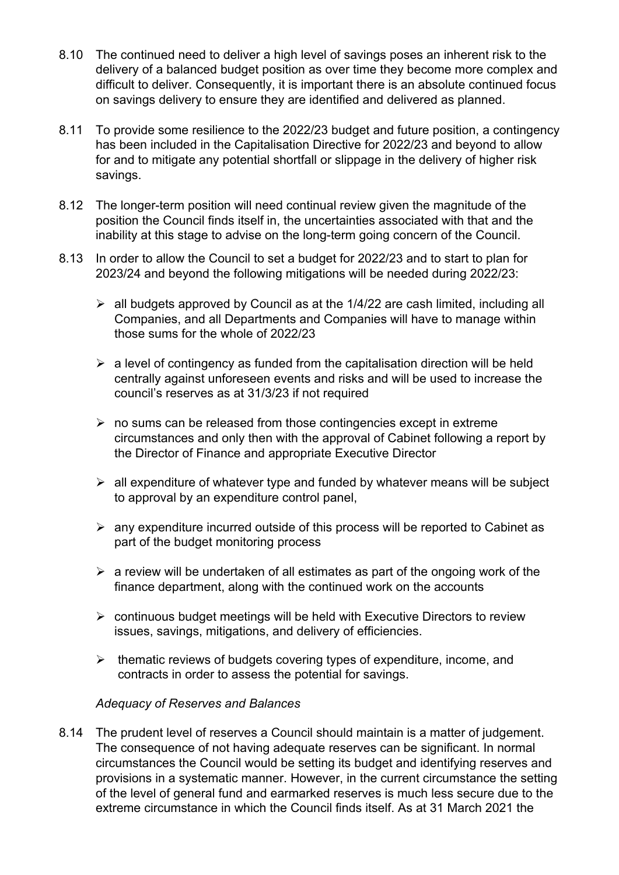- 8.10 The continued need to deliver a high level of savings poses an inherent risk to the delivery of a balanced budget position as over time they become more complex and difficult to deliver. Consequently, it is important there is an absolute continued focus on savings delivery to ensure they are identified and delivered as planned.
- 8.11 To provide some resilience to the 2022/23 budget and future position, a contingency has been included in the Capitalisation Directive for 2022/23 and beyond to allow for and to mitigate any potential shortfall or slippage in the delivery of higher risk savings.
- 8.12 The longer-term position will need continual review given the magnitude of the position the Council finds itself in, the uncertainties associated with that and the inability at this stage to advise on the long-term going concern of the Council.
- 8.13 In order to allow the Council to set a budget for 2022/23 and to start to plan for 2023/24 and beyond the following mitigations will be needed during 2022/23:
	- $\triangleright$  all budgets approved by Council as at the 1/4/22 are cash limited, including all Companies, and all Departments and Companies will have to manage within those sums for the whole of 2022/23
	- $\triangleright$  a level of contingency as funded from the capitalisation direction will be held centrally against unforeseen events and risks and will be used to increase the council's reserves as at 31/3/23 if not required
	- $\triangleright$  no sums can be released from those contingencies except in extreme circumstances and only then with the approval of Cabinet following a report by the Director of Finance and appropriate Executive Director
	- $\triangleright$  all expenditure of whatever type and funded by whatever means will be subject to approval by an expenditure control panel,
	- $\triangleright$  any expenditure incurred outside of this process will be reported to Cabinet as part of the budget monitoring process
	- $\triangleright$  a review will be undertaken of all estimates as part of the ongoing work of the finance department, along with the continued work on the accounts
	- $\triangleright$  continuous budget meetings will be held with Executive Directors to review issues, savings, mitigations, and delivery of efficiencies.
	- $\triangleright$  thematic reviews of budgets covering types of expenditure, income, and contracts in order to assess the potential for savings.

#### *Adequacy of Reserves and Balances*

8.14 The prudent level of reserves a Council should maintain is a matter of judgement. The consequence of not having adequate reserves can be significant. In normal circumstances the Council would be setting its budget and identifying reserves and provisions in a systematic manner. However, in the current circumstance the setting of the level of general fund and earmarked reserves is much less secure due to the extreme circumstance in which the Council finds itself. As at 31 March 2021 the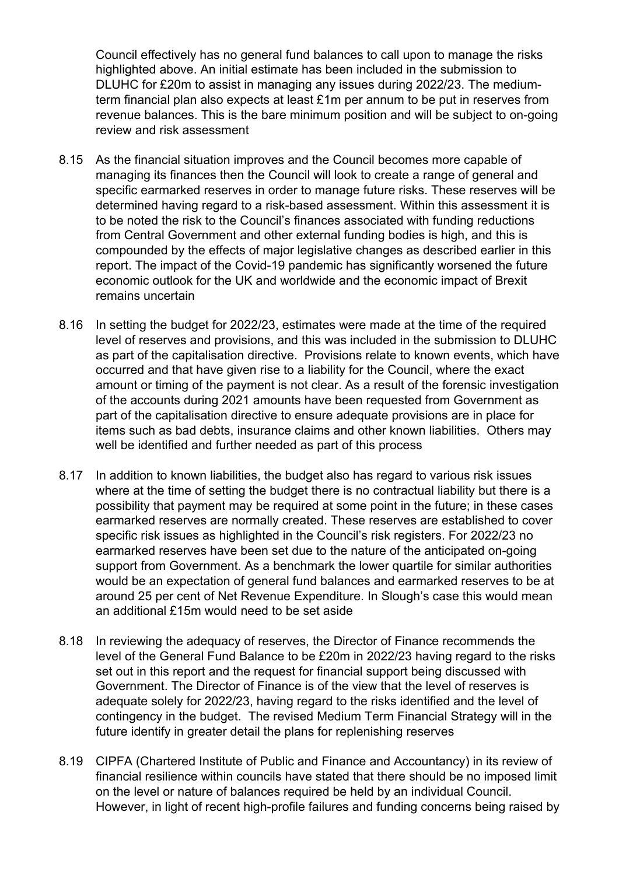Council effectively has no general fund balances to call upon to manage the risks highlighted above. An initial estimate has been included in the submission to DLUHC for £20m to assist in managing any issues during 2022/23. The mediumterm financial plan also expects at least £1m per annum to be put in reserves from revenue balances. This is the bare minimum position and will be subject to on-going review and risk assessment

- 8.15 As the financial situation improves and the Council becomes more capable of managing its finances then the Council will look to create a range of general and specific earmarked reserves in order to manage future risks. These reserves will be determined having regard to a risk-based assessment. Within this assessment it is to be noted the risk to the Council's finances associated with funding reductions from Central Government and other external funding bodies is high, and this is compounded by the effects of major legislative changes as described earlier in this report. The impact of the Covid-19 pandemic has significantly worsened the future economic outlook for the UK and worldwide and the economic impact of Brexit remains uncertain
- 8.16 In setting the budget for 2022/23, estimates were made at the time of the required level of reserves and provisions, and this was included in the submission to DLUHC as part of the capitalisation directive. Provisions relate to known events, which have occurred and that have given rise to a liability for the Council, where the exact amount or timing of the payment is not clear. As a result of the forensic investigation of the accounts during 2021 amounts have been requested from Government as part of the capitalisation directive to ensure adequate provisions are in place for items such as bad debts, insurance claims and other known liabilities. Others may well be identified and further needed as part of this process
- 8.17 In addition to known liabilities, the budget also has regard to various risk issues where at the time of setting the budget there is no contractual liability but there is a possibility that payment may be required at some point in the future; in these cases earmarked reserves are normally created. These reserves are established to cover specific risk issues as highlighted in the Council's risk registers. For 2022/23 no earmarked reserves have been set due to the nature of the anticipated on-going support from Government. As a benchmark the lower quartile for similar authorities would be an expectation of general fund balances and earmarked reserves to be at around 25 per cent of Net Revenue Expenditure. In Slough's case this would mean an additional £15m would need to be set aside
- 8.18 In reviewing the adequacy of reserves, the Director of Finance recommends the level of the General Fund Balance to be £20m in 2022/23 having regard to the risks set out in this report and the request for financial support being discussed with Government. The Director of Finance is of the view that the level of reserves is adequate solely for 2022/23, having regard to the risks identified and the level of contingency in the budget. The revised Medium Term Financial Strategy will in the future identify in greater detail the plans for replenishing reserves
- 8.19 CIPFA (Chartered Institute of Public and Finance and Accountancy) in its review of financial resilience within councils have stated that there should be no imposed limit on the level or nature of balances required be held by an individual Council. However, in light of recent high-profile failures and funding concerns being raised by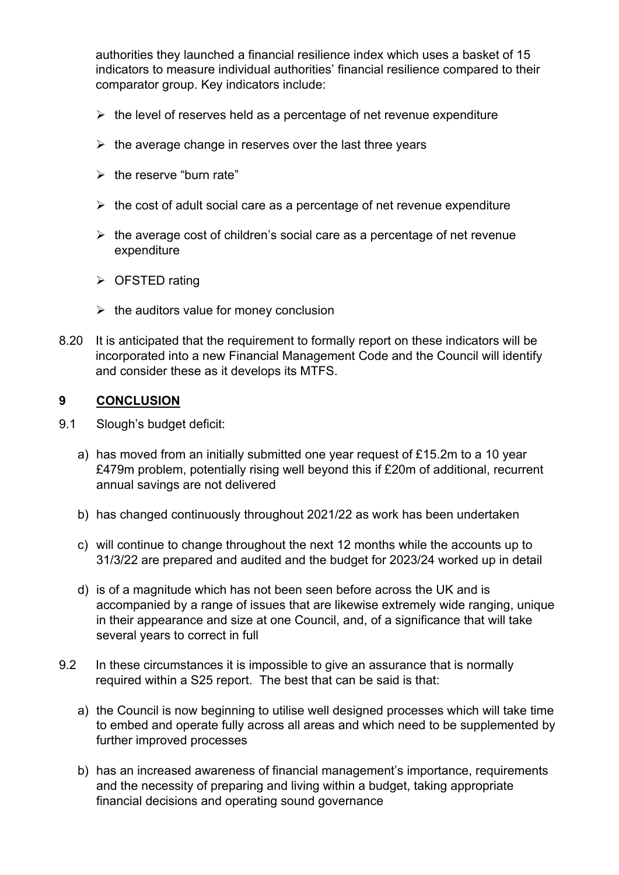authorities they launched a financial resilience index which uses a basket of 15 indicators to measure individual authorities' financial resilience compared to their comparator group. Key indicators include:

- $\triangleright$  the level of reserves held as a percentage of net revenue expenditure
- $\triangleright$  the average change in reserves over the last three years
- $\triangleright$  the reserve "burn rate"
- $\triangleright$  the cost of adult social care as a percentage of net revenue expenditure
- $\triangleright$  the average cost of children's social care as a percentage of net revenue expenditure
- $\triangleright$  OFSTED rating
- $\triangleright$  the auditors value for money conclusion
- 8.20 It is anticipated that the requirement to formally report on these indicators will be incorporated into a new Financial Management Code and the Council will identify and consider these as it develops its MTFS.

## **9 CONCLUSION**

- 9.1 Slough's budget deficit:
	- a) has moved from an initially submitted one year request of £15.2m to a 10 year £479m problem, potentially rising well beyond this if £20m of additional, recurrent annual savings are not delivered
	- b) has changed continuously throughout 2021/22 as work has been undertaken
	- c) will continue to change throughout the next 12 months while the accounts up to 31/3/22 are prepared and audited and the budget for 2023/24 worked up in detail
	- d) is of a magnitude which has not been seen before across the UK and is accompanied by a range of issues that are likewise extremely wide ranging, unique in their appearance and size at one Council, and, of a significance that will take several years to correct in full
- 9.2 In these circumstances it is impossible to give an assurance that is normally required within a S25 report. The best that can be said is that:
	- a) the Council is now beginning to utilise well designed processes which will take time to embed and operate fully across all areas and which need to be supplemented by further improved processes
	- b) has an increased awareness of financial management's importance, requirements and the necessity of preparing and living within a budget, taking appropriate financial decisions and operating sound governance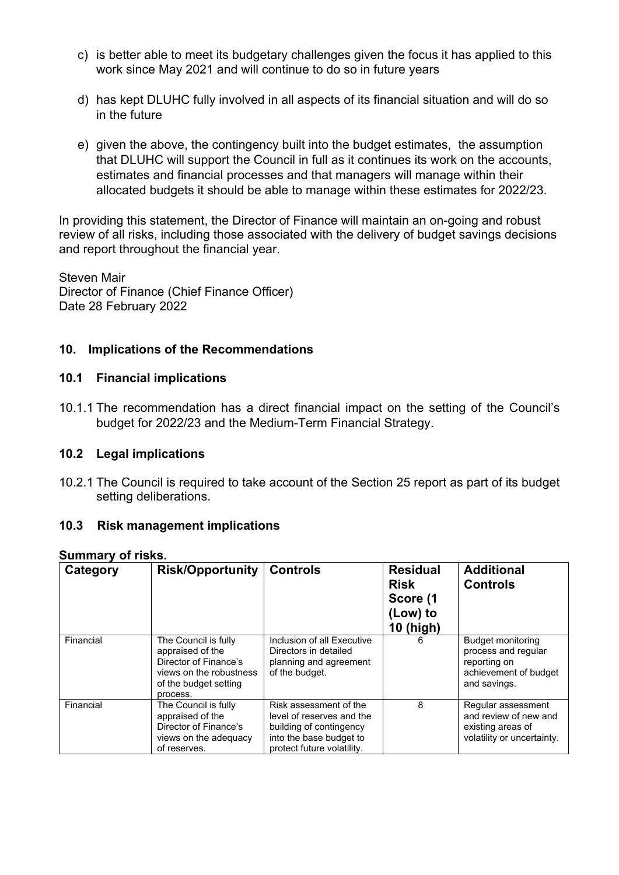- c) is better able to meet its budgetary challenges given the focus it has applied to this work since May 2021 and will continue to do so in future years
- d) has kept DLUHC fully involved in all aspects of its financial situation and will do so in the future
- e) given the above, the contingency built into the budget estimates, the assumption that DLUHC will support the Council in full as it continues its work on the accounts, estimates and financial processes and that managers will manage within their allocated budgets it should be able to manage within these estimates for 2022/23.

In providing this statement, the Director of Finance will maintain an on-going and robust review of all risks, including those associated with the delivery of budget savings decisions and report throughout the financial year.

Steven Mair Director of Finance (Chief Finance Officer) Date 28 February 2022

# **10. Implications of the Recommendations**

#### **10.1 Financial implications**

10.1.1 The recommendation has a direct financial impact on the setting of the Council's budget for 2022/23 and the Medium-Term Financial Strategy.

#### **10.2 Legal implications**

10.2.1 The Council is required to take account of the Section 25 report as part of its budget setting deliberations.

#### **10.3 Risk management implications**

| Category  | <b>Risk/Opportunity</b>                                                                                                           | <b>Controls</b>                                                                                                                         | <b>Residual</b><br><b>Risk</b><br>Score (1<br>(Low) to<br><b>10 (high)</b> | <b>Additional</b><br><b>Controls</b>                                                              |
|-----------|-----------------------------------------------------------------------------------------------------------------------------------|-----------------------------------------------------------------------------------------------------------------------------------------|----------------------------------------------------------------------------|---------------------------------------------------------------------------------------------------|
| Financial | The Council is fully<br>appraised of the<br>Director of Finance's<br>views on the robustness<br>of the budget setting<br>process. | Inclusion of all Executive<br>Directors in detailed<br>planning and agreement<br>of the budget.                                         |                                                                            | Budget monitoring<br>process and regular<br>reporting on<br>achievement of budget<br>and savings. |
| Financial | The Council is fully<br>appraised of the<br>Director of Finance's<br>views on the adequacy<br>of reserves.                        | Risk assessment of the<br>level of reserves and the<br>building of contingency<br>into the base budget to<br>protect future volatility. | 8                                                                          | Regular assessment<br>and review of new and<br>existing areas of<br>volatility or uncertainty.    |

#### **Summary of risks.**